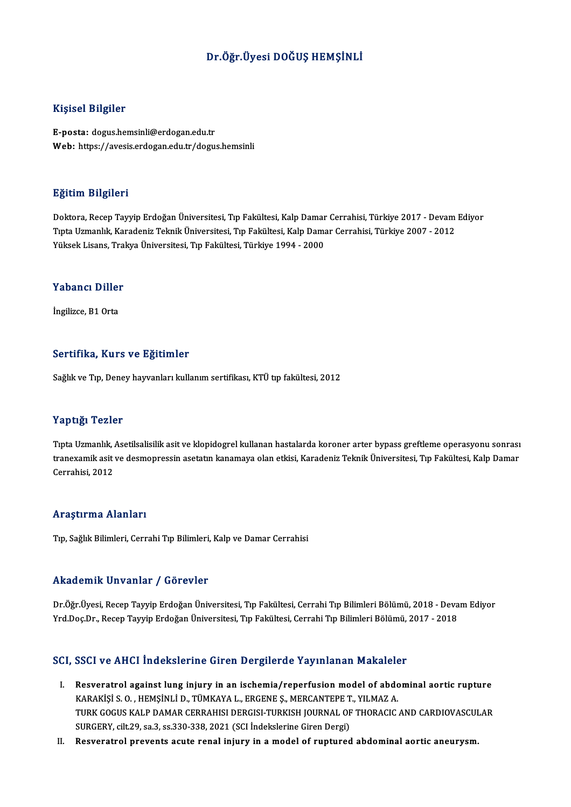## Dr.Öğr.Üyesi DOĞUŞ HEMŞİNLİ

#### Kişisel Bilgiler

E-posta: dogus.hemsinli@erdogan.edu.tr Web: https://avesis.erdogan.edu.tr/dogus.hemsinli

#### Eğitim Bilgileri

**Eğitim Bilgileri**<br>Doktora, Recep Tayyip Erdoğan Üniversitesi, Tıp Fakültesi, Kalp Damar Cerrahisi, Türkiye 2017 - Devam Ediyor<br>Tuta Hamanlık Karadeniz Teknik Üniversitesi, Tıp Fakültesi, Kalp Damar Cerrahisi, Türkiye 2007 Eşkenin Barşirora<br>Doktora, Recep Tayyip Erdoğan Üniversitesi, Tıp Fakültesi, Kalp Damar Cerrahisi, Türkiye 2017 - Devam<br>Tıpta Uzmanlık, Karadeniz Teknik Üniversitesi, Tıp Fakültesi, Kalp Damar Cerrahisi, Türkiye 2007 - 201 Tıpta Uzmanlık, Karadeniz Teknik Üniversitesi, Tıp Fakültesi, Kalp Damar Cerrahisi, Türkiye 2007 - 2012<br>Yüksek Lisans, Trakya Üniversitesi, Tıp Fakültesi, Türkiye 1994 - 2000

## ruksek Lisans, Trai<br>Yabancı Diller Y<mark>abancı Diller</mark><br>İngilizce, B1 Orta

# İngilizce, B1 Orta<br>Sertifika, Kurs ve Eğitimler

Sağlık ve Tıp, Deney hayvanları kullanım sertifikası, KTÜ tıp fakültesi, 2012

#### Yaptığı Tezler

Yaptığı Tezler<br>Tıpta Uzmanlık, Asetilsalisilik asit ve klopidogrel kullanan hastalarda koroner arter bypass greftleme operasyonu sonrası<br>tranovamik asit ve desmonressin asetatın konomave olan etkisi. Korodoniz Telmik Ünive t ap esge i Sziser<br>Tıpta Uzmanlık, Asetilsalisilik asit ve klopidogrel kullanan hastalarda koroner arter bypass greftleme operasyonu sonrası<br>tranexamik asit ve desmopressin asetatın kanamaya olan etkisi, Karadeniz Teknik Ü Tıpta Uzmanlık, .<br>tranexamik asit<br>Cerrahisi, 2012 Cerrahisi, 2012<br>Araştırma Alanları

Tıp, Sağlık Bilimleri, Cerrahi Tıp Bilimleri, Kalp ve Damar Cerrahisi

#### Akademik Unvanlar / Görevler

Akademik Unvanlar / Görevler<br>Dr.Öğr.Üyesi, Recep Tayyip Erdoğan Üniversitesi, Tıp Fakültesi, Cerrahi Tıp Bilimleri Bölümü, 2018 - Devam Ediyor<br>Yrd Des Dr. Besen Tayyip Erdoğan Üniversitesi, Tıp Fakültesi, Cerrahi Tıp Bilim Yrkuu Offrik "Off vuffrar" / "USF 07101"<br>Dr.Öğr.Üyesi, Recep Tayyip Erdoğan Üniversitesi, Tıp Fakültesi, Cerrahi Tıp Bilimleri Bölümü, 2018 - Deva<br>Yrd.Doç.Dr., Recep Tayyip Erdoğan Üniversitesi, Tıp Fakültesi, Cerrahi Tıp Yrd.Doç.Dr., Recep Tayyip Erdoğan Üniversitesi, Tıp Fakültesi, Cerrahi Tıp Bilimleri Bölümü, 2017 - 2018<br>SCI, SSCI ve AHCI İndekslerine Giren Dergilerde Yayınlanan Makaleler

- CI, SSCI ve AHCI İndekslerine Giren Dergilerde Yayınlanan Makaleler<br>I. Resveratrol against lung injury in an ischemia/reperfusion model of abdominal aortic rupture<br>KARAVİSLO, HEMSİNLİ D. TÜMKAYA L. ERGENE S. MERGANTERE T. KARAKİŞİ S. O., HEMŞİNLİ D., TÜMKAYA L., ERGENE Ş., MERCANTEPE T., YILMAZ A.<br>KARAKİŞİ S. O. , HEMŞİNLİ D., TÜMKAYA L., ERGENE Ş., MERCANTEPE T., YILMAZ A.<br>TURK COCUS KALB DAMAR GERRAHISI DERÇISI TURKISH JOURNAL OF THORACIC Resveratrol against lung injury in an ischemia/reperfusion model of abdominal aortic rupture<br>KARAKİŞİ S. O. , HEMŞİNLİ D., TÜMKAYA L., ERGENE Ş., MERCANTEPE T., YILMAZ A.<br>TURK GOGUS KALP DAMAR CERRAHISI DERGISI-TURKISH JOU KARAKİŞİ S. O. , HEMŞİNLİ D., TÜMKAYA L., ERGENE Ş., MERCANTEPE T., YILMAZ A.<br>TURK GOGUS KALP DAMAR CERRAHISI DERGISI-TURKISH JOURNAL OF THORACIC AND CARDIOVASCULAR<br>SURGERY, cilt.29, sa.3, ss.330-338, 2021 (SCI İndekslerin
- II. Resveratrol prevents acute renal injury in a model of ruptured abdominal aortic aneurysm.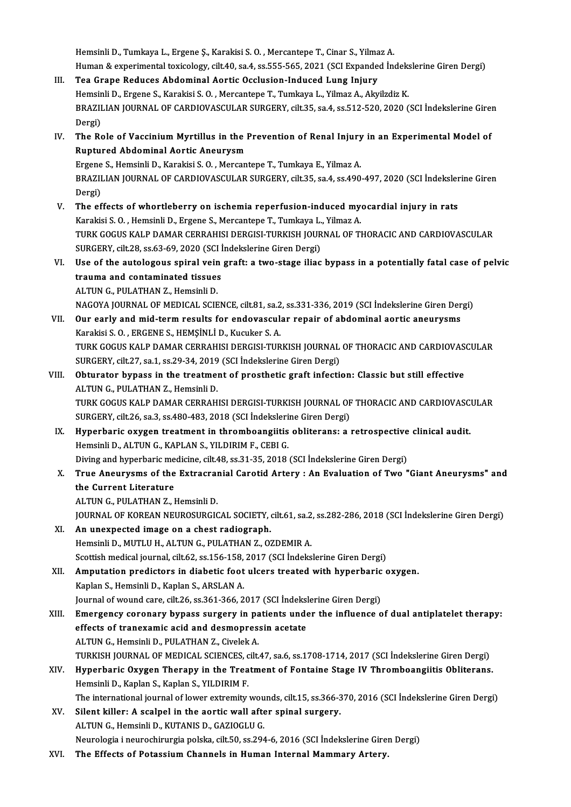Hemsinli D., Tumkaya L., Ergene Ş., Karakisi S. O. , Mercantepe T., Cinar S., Yilmaz A.<br>Human & evnerimental teviselegy, silt 40, se 4, se EEE EEE 2021 (SCL Evnanded In Hemsinli D., Tumkaya L., Ergene Ş., Karakisi S. O. , Mercantepe T., Cinar S., Yilmaz A.<br>Human & experimental toxicology, cilt.40, sa.4, ss.555-565, 2021 (SCI Expanded İndekslerine Giren Dergi)<br>Tes. Grane Beduses, Abdominal Hemsinli D., Tumkaya L., Ergene Ș., Karakisi S. O., Mercantepe T., Cinar S., Yilma<br>Human & experimental toxicology, cilt.40, sa.4, ss.555-565, 2021 (SCI Expande<br>III. Tea Grape Reduces Abdominal Aortic Occlusion-Induced Lun

- Human & experimental toxicology, cilt.40, sa.4, ss.555-565, 2021 (SCI Expanded Indeks<br>Tea Grape Reduces Abdominal Aortic Occlusion-Induced Lung Injury<br>Hemsinli D., Ergene S., Karakisi S. O. , Mercantepe T., Tumkaya L., Yil Tea Grape Reduces Abdominal Aortic Occlusion-Induced Lung Injury<br>Hemsinli D., Ergene S., Karakisi S. O. , Mercantepe T., Tumkaya L., Yilmaz A., Akyilzdiz K.<br>BRAZILIAN JOURNAL OF CARDIOVASCULAR SURGERY, cilt.35, sa.4, ss.51 Hemsinli D., Ergene S., Karakisi S. O., Mercantepe T., Tumkaya L., Yilmaz A., Akyilzdiz K. BRAZILIAN JOURNAL OF CARDIOVASCULAR SURGERY, cilt.35, sa.4, ss.512-520, 2020 (SCI İndekslerine Giren<br>Dergi)<br>IV. The Role of Vaccinium Myrtillus in the Prevention of Renal Injury in an Experimental Model of<br>Puntured Abdomin
- Dergi)<br>The Role of Vaccinium Myrtillus in the l<br>Ruptured Abdominal Aortic Aneurysm<br>Frgane S. Homsinli D. Karakisi S.O. Morson The Role of Vaccinium Myrtillus in the Prevention of Renal Injury<br>Ruptured Abdominal Aortic Aneurysm<br>Ergene S., Hemsinli D., Karakisi S. O. , Mercantepe T., Tumkaya E., Yilmaz A.<br>PRAZU JAN JOURNAL OF CARDJOVASCULAR SURCERY Ruptured Abdominal Aortic Aneurysm<br>Ergene S., Hemsinli D., Karakisi S. O. , Mercantepe T., Tumkaya E., Yilmaz A.<br>BRAZILIAN JOURNAL OF CARDIOVASCULAR SURGERY, cilt.35, sa.4, ss.490-497, 2020 (SCI İndekslerine Giren<br>Dergi) Ergene S., Hemsinli D., Karakisi S. O., Mercantepe T., Tumkaya E., Yilmaz A.
- BRAZILIAN JOURNAL OF CARDIOVASCULAR SURGERY, cilt.35, sa.4, ss.490-497, 2020 (SCI İndeksler<br>Dergi)<br>V. The effects of whortleberry on ischemia reperfusion-induced myocardial injury in rats<br>Karakisi S.O. Hamsinli D. France S Dergi)<br>The effects of whortleberry on ischemia reperfusion-induced my<br>Karakisi S. O. , Hemsinli D., Ergene S., Mercantepe T., Tumkaya L., Yilmaz A.<br>TURK COCUS KALR DAMAR CERRAHISI DERCISI TURKISH JOURNAL OF TI The effects of whortleberry on ischemia reperfusion-induced myocardial injury in rats<br>Karakisi S. O. , Hemsinli D., Ergene S., Mercantepe T., Tumkaya L., Yilmaz A.<br>TURK GOGUS KALP DAMAR CERRAHISI DERGISI-TURKISH JOURNAL OF Karakisi S. O. , Hemsinli D., Ergene S., Mercantepe T., Tumkaya L.<br>TURK GOGUS KALP DAMAR CERRAHISI DERGISI-TURKISH JOUR<br>SURGERY, cilt.28, ss.63-69, 2020 (SCI İndekslerine Giren Dergi)<br>Hae of the autalogous spiral vein graf TURK GOGUS KALP DAMAR CERRAHISI DERGISI-TURKISH JOURNAL OF THORACIC AND CARDIOVASCULAR<br>SURGERY, cilt.28, ss.63-69, 2020 (SCI indekslerine Giren Dergi)<br>VI. Use of the autologous spiral vein graft: a two-stage iliac bypass i
- SURGERY, cilt.28, ss.63-69, 2020 (SCI İndekslerine Giren Dergi)<br>Use of the autologous spiral vein graft: a two-stage iliac<br>trauma and contaminated tissues<br>ALTUN G. PULATHAN Z.. Hemsinli D. Use of the autologous spiral vein<br>trauma and contaminated tissues<br>ALTUN G., PULATHAN Z., Hemsinli D.<br>NACOVA JOUPNAL OF MEDICAL SCIE
	-

NAGOYA JOURNAL OF MEDICAL SCIENCE, cilt.81, sa.2, ss.331-336, 2019 (SCI İndekslerine Giren Dergi)

ALTUN G., PULATHAN Z., Hemsinli D.<br>NAGOYA JOURNAL OF MEDICAL SCIENCE, cilt.81, sa.2, ss.331-336, 2019 (SCI İndekslerine Giren Der<br>VII. Our early and mid-term results for endovascular repair of abdominal aortic aneurysms<br>Ka NAGOYA JOURNAL OF MEDICAL SCIENCE, cilt.81, sa.2<br>Our early and mid-term results for endovascul:<br>Karakisi S. O. , ERGENE S., HEMŞİNLİ D., Kucuker S. A.<br>TURK COCUS KALB DAMAR CERRAHISI DERCISI TUR Our early and mid-term results for endovascular repair of abdominal aortic aneurysms<br>Karakisi S. O. , ERGENE S., HEMŞİNLİ D., Kucuker S. A.<br>TURK GOGUS KALP DAMAR CERRAHISI DERGISI-TURKISH JOURNAL OF THORACIC AND CARDIOVASC

Karakisi S. O. , ERGENE S., HEMŞİNLİ D., Kucuker S. A.<br>TURK GOGUS KALP DAMAR CERRAHISI DERGISI-TURKISH JOURNAL OF THORACIC AND CARDIOVASCULAR<br>SURGERY, cilt.27, sa.1, ss.29-34, 2019 (SCI İndekslerine Giren Dergi) TURK GOGUS KALP DAMAR CERRAHISI DERGISI-TURKISH JOURNAL OF THORACIC AND CARDIOVAS<br>SURGERY, cilt.27, sa.1, ss.29-34, 2019 (SCI Indekslerine Giren Dergi)<br>VIII. Obturator bypass in the treatment of prosthetic graft infection:

SURGERY, cilt.27, sa.1, ss.29-34, 2019<br>Obturator bypass in the treatmen<br>ALTUN G., PULATHAN Z., Hemsinli D.<br>TURK COCUS KALR DAMAR CERRAH Obturator bypass in the treatment of prosthetic graft infection: Classic but still effective<br>ALTUN G., PULATHAN Z., Hemsinli D.<br>TURK GOGUS KALP DAMAR CERRAHISI DERGISI-TURKISH JOURNAL OF THORACIC AND CARDIOVASCULAR<br>SUBCERY

ALTUN G., PULATHAN Z., Hemsinli D.<br>TURK GOGUS KALP DAMAR CERRAHISI DERGISI-TURKISH JOURNAL OF<br>SURGERY, cilt.26, sa.3, ss.480-483, 2018 (SCI İndekslerine Giren Dergi)<br>Hunorbaris ovugen treatment in thromboangiitis obliteran TURK GOGUS KALP DAMAR CERRAHISI DERGISI-TURKISH JOURNAL OF THORACIC AND CARDIOVASC<br>SURGERY, cilt.26, sa.3, ss.480-483, 2018 (SCI indekslerine Giren Dergi)<br>IX. Hyperbaric oxygen treatment in thromboangiitis obliterans: a re

- SURGERY, cilt.26, sa.3, ss.480-483, 2018 (SCI İndekslerine Giren Dergi)<br>Hyperbaric oxygen treatment in thromboangiitis obliterans: a<br>Hemsinli D., ALTUN G., KAPLAN S., YILDIRIM F., CEBI G. IX. Hyperbaric oxygen treatment in thromboangiitis obliterans: a retrospective clinical audit.
- Hemsinli D., ALTUN G., KAPLAN S., YILDIRIM F., CEBI G.<br>Diving and hyperbaric medicine, cilt.48, ss.31-35, 2018 (SCI İndekslerine Giren Dergi)<br>X. True Aneurysms of the Extracranial Carotid Artery : An Evaluation of Two "Gia Diving and hyperbaric medicine, cilt.48, ss.31-35, 2018 (SCI Indekslerine Giren Dergi)<br>True Aneurysms of the Extracranial Carotid Artery : An Evaluation of Two<br>the Current Literature<br>ALTUN G., PULATHAN Z., Hemsinli D. True Aneurysms of the Extracral<br>the Current Literature<br>ALTUN G., PULATHAN Z., Hemsinli D.<br>JOUPNAL OF KOPEAN NEUPOSUPCIC the Current Literature<br>ALTUN G., PULATHAN Z., Hemsinli D.<br>JOURNAL OF KOREAN NEUROSURGICAL SOCIETY, cilt.61, sa.2, ss.282-286, 2018 (SCI İndekslerine Giren Dergi)<br>An unavnastad imaga an a shast radiosranh
	-

- XI. An unexpected image on a chest radiograph. JOURNAL OF KOREAN NEUROSURGICAL SOCIETY, cilt.61, sa.2<br>An unexpected image on a chest radiograph.<br>Hemsinli D., MUTLU H., ALTUN G., PULATHAN Z., OZDEMIR A.<br>Sesttish medical journal silt 62, sa.156, 159, 2017, (SCL indelts Scottish medical journal, cilt.62, ss.156-158, 2017 (SCI İndekslerine Giren Dergi) Hemsinli D., MUTLU H., ALTUN G., PULATHAN Z., OZDEMIR A.<br>Scottish medical journal, cilt.62, ss.156-158, 2017 (SCI İndekslerine Giren Dergi)<br>XII. Amputation predictors in diabetic foot ulcers treated with hyperbaric oxygen.
- Scottish medical journal, cilt.62, ss.156-158,<br>Amputation predictors in diabetic foot<br>Kaplan S., Hemsinli D., Kaplan S., ARSLAN A. Amputation predictors in diabetic foot ulcers treated with hyperbaric<br>Kaplan S., Hemsinli D., Kaplan S., ARSLAN A.<br>Journal of wound care, cilt.26, ss.361-366, 2017 (SCI İndekslerine Giren Dergi)<br>Emergenay carenory bynass s
- Kaplan S., Hemsinli D., Kaplan S., ARSLAN A.<br>Journal of wound care, cilt.26, ss.361-366, 2017 (SCI Indekslerine Giren Dergi)<br>XIII. Emergency coronary bypass surgery in patients under the influence of dual antiplatelet ther Journal of wound care, cilt.26, ss.361-366, 2017 (SCI İndeksi)<br>Emergency coronary bypass surgery in patients under<br>fects of tranexamic acid and desmopressin acetate<br>ALTIN C. Hemsinli D. PULATHAN Z. Gyalek A Emergency coronary bypass surgery in pa<br>effects of tranexamic acid and desmopres:<br>ALTUN G., Hemsinli D., PULATHAN Z., Civelek A.<br>TURVISH JOURNAL OF MEDICAL SCIENCES silt effects of tranexamic acid and desmopressin acetate<br>ALTUN G., Hemsinli D., PULATHAN Z., Civelek A.<br>TURKISH JOURNAL OF MEDICAL SCIENCES, cilt.47, sa.6, ss.1708-1714, 2017 (SCI İndekslerine Giren Dergi)<br>Hunorbaris Ovygen The ALTUN G., Hemsinli D., PULATHAN Z., Civelek A.<br>TURKISH JOURNAL OF MEDICAL SCIENCES, cilt.47, sa.6, ss.1708-1714, 2017 (SCI İndekslerine Giren Dergi)<br>XIV. Hyperbaric Oxygen Therapy in the Treatment of Fontaine Stage IV Thro
- TURKISH JOURNAL OF MEDICAL SCIENCES, c<br>Hyperbaric Oxygen Therapy in the Trea<br>Hemsinli D., Kaplan S., Kaplan S., YILDIRIM F.<br>The international journal of lower extremity. Hyperbaric Oxygen Therapy in the Treatment of Fontaine Stage IV Thromboangiitis Obliterans.<br>Hemsinli D., Kaplan S., Kaplan S., YILDIRIM F.<br>The international journal of lower extremity wounds, cilt.15, ss.366-370, 2016 (SCI
- XV. Silent killer: A scalpel in the aortic wall after spinal surgery.<br>ALTUN G., Hemsinli D., KUTANIS D., GAZIOGLU G. The international journal of lower extremity wou<br>Silent killer: A scalpel in the aortic wall afte<br>ALTUN G., Hemsinli D., KUTANIS D., GAZIOGLU G.<br>Naurologia i nauroshinurgia polska silt 50, se 200 Neurologia ineurochirurgia polska, cilt.50, ss.294-6,2016 (SCI İndekslerineGirenDergi)
- XVI. The Effects of Potassium Channels in Human Internal Mammary Artery.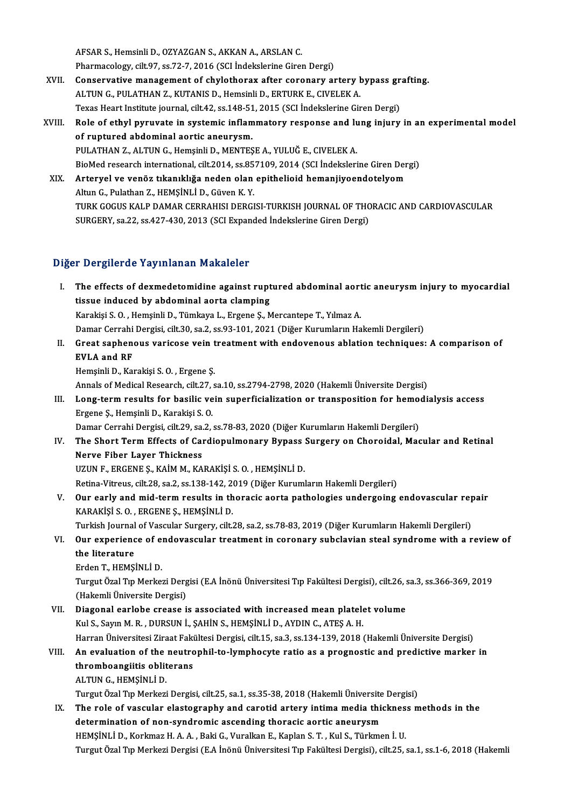AFSARS.,HemsinliD.,OZYAZGANS.,AKKANA.,ARSLANC. Pharmacology, cilt.97, ss.72-7, 2016 (SCI İndekslerine Giren Dergi)

- AFSAR S., Hemsinli D., OZYAZGAN S., AKKAN A., ARSLAN C.<br>Pharmacology, cilt.97, ss.72-7, 2016 (SCI Indekslerine Giren Dergi)<br>XVII. Conservative management of chylothorax after coronary artery bypass grafting.<br>ALTIN C. BULAT Pharmacology, cilt.97, ss.72-7, 2016 (SCI İndekslerine Giren Dergi)<br>Conservative management of chylothorax after coronary artery l<br>ALTUN G., PULATHAN Z., KUTANIS D., Hemsinli D., ERTURK E., CIVELEK A.<br>Tavas Haart Institute Conservative management of chylothorax after coronary artery bypass gr<br>ALTUN G., PULATHAN Z., KUTANIS D., Hemsinli D., ERTURK E., CIVELEK A.<br>Texas Heart Institute journal, cilt.42, ss.148-51, 2015 (SCI İndekslerine Giren D ALTUN G., PULATHAN Z., KUTANIS D., Hemsinli D., ERTURK E., CIVELEK A.<br>Texas Heart Institute journal, cilt.42, ss.148-51, 2015 (SCI Indekslerine Giren Dergi)<br>XVIII. Role of ethyl pyruvate in systemic inflammatory respon
- of ruptured abdominal aortic aneurysm. PULATHAN Z., ALTUN G., Hemşinli D., MENTEŞE A., YULUĞ E., CIVELEK A. BioMed research international, cilt.2014, ss.857109,2014 (SCI İndekslerineGirenDergi) PULATHAN Z., ALTUN G., Hemşinli D., MENTEŞE A., YULUĞ E., CIVELEK A.<br>BioMed research international, cilt.2014, ss.857109, 2014 (SCI İndekslerine Giren Der<br>XIX. Arteryel ve venöz tıkanıklığa neden olan epithelioid heman
- BioMed research international, cilt.2014, ss.85<br>Arteryel ve venöz tıkanıklığa neden olan<br>Altun G., Pulathan Z., HEMŞİNLİ D., Güven K. Y.<br>TURK COCUS KALR DAMAR GERRAHISI DERCI Arteryel ve venöz tıkanıklığa neden olan epithelioid hemanjiyoendotelyom<br>Altun G., Pulathan Z., HEMŞİNLİ D., Güven K. Y.<br>TURK GOGUS KALP DAMAR CERRAHISI DERGISI-TURKISH JOURNAL OF THORACIC AND CARDIOVASCULAR<br>SURCERY 82.22, Altun G., Pulathan Z., HEMŞİNLİ D., Güven K. Y.<br>TURK GOGUS KALP DAMAR CERRAHISI DERGISI-TURKISH JOURNAL OF THC<br>SURGERY, sa.22, ss.427-430, 2013 (SCI Expanded İndekslerine Giren Dergi) SURGERY, sa.22, ss.427-430, 2013 (SCI Expanded İndekslerine Giren Dergi)<br>Diğer Dergilerde Yayınlanan Makaleler

Iger Dergilerde Yayınlanan Makaleler<br>I. The effects of dexmedetomidine against ruptured abdominal aortic aneurysm injury to myocardial<br>tissue indused by abdominal aorta clamping The effects of dexmedetomidine against rupt<br>tissue induced by abdominal aorta clamping<br>Karakisi S.O. Hamsinli D. Tümkaya L. Exsans S. M The effects of dexmedetomidine against ruptured abdominal aort<br>tissue induced by abdominal aorta clamping<br>Karakişi S. O. , Hemşinli D., Tümkaya L., Ergene Ş., Mercantepe T., Yılmaz A.<br>Damar Cerrebi Dergisi gilt 20, sa 2, s tissue induced by abdominal aorta clamping<br>Karakişi S. O. , Hemşinli D., Tümkaya L., Ergene Ş., Mercantepe T., Yılmaz A.<br>Damar Cerrahi Dergisi, cilt.30, sa.2, ss.93-101, 2021 (Diğer Kurumların Hakemli Dergileri) Karakişi S. O. , Hemşinli D., Tümkaya L., Ergene Ş., Mercantepe T., Yılmaz A.<br>Damar Cerrahi Dergisi, cilt.30, sa.2, ss.93-101, 2021 (Diğer Kurumların Hakemli Dergileri)<br>II. Great saphenous varicose vein treatment with endo Damar Cerrahi<br>Great saphen<br>EVLA and RF<br>Homeinli D. Kor Great saphenous varicose vein t<br>EVLA and RF<br>Hemşinli D., Karakişi S. O. , Ergene Ş.<br>Annak of Medical Besearsh, silt 27, s **EVLA and RF**<br>Hemşinli D., Karakişi S. O. , Ergene Ş.<br>Annals of Medical Research, cilt.27, sa.10, ss.2794-2798, 2020 (Hakemli Üniversite Dergisi) Hemşinli D., Karakişi S. O. , Ergene Ş.<br>Annals of Medical Research, cilt.27, sa.10, ss.2794-2798, 2020 (Hakemli Üniversite Dergisi)<br>III. Long-term results for basilic vein superficialization or transposition for hemodialys Annals of Medical Research, cilt.27,<br>**Long-term results for basilic ve**<br>Ergene Ş., Hemşinli D., Karakişi S. O.<br>Damar Carrabi Dargisi, silt.29, S. 2. Long-term results for basilic vein superficialization or transposition for hemo<br>Ergene Ş., Hemşinli D., Karakişi S. O.<br>Damar Cerrahi Dergisi, cilt.29, sa.2, ss.78-83, 2020 (Diğer Kurumların Hakemli Dergileri)<br>The Shert Ter Ergene Ș., Hemșinli D., Karakiși S. O.<br>Damar Cerrahi Dergisi, cilt.29, sa.2, ss.78-83, 2020 (Diğer Kurumların Hakemli Dergileri)<br>IV. The Short Term Effects of Cardiopulmonary Bypass Surgery on Choroidal, Macular and Re Damar Cerrahi Dergisi, cilt.29, sa.2, ss.78-83, 2020 (Diğer Kurumların Hakemli Dergileri)<br>The Short Term Effects of Cardiopulmonary Bypass Surgery on Choroidal, Mac<br>Nerve Fiber Layer Thickness<br>UZUN F., ERGENE S., KAİM M., The Short Term Effects of Cardiopulmonary Bypass :<br>Nerve Fiber Layer Thickness<br>UZUN F., ERGENE Ş., KAİM M., KARAKİŞİ S. O. , HEMŞİNLİ D.<br>Petina Vitrave silt 38, 88, 28, 139, 142, 2010 (Diğan Kunum) Retina-Vitreus, cilt.28, sa.2, ss.138-142, 2019 (Diğer Kurumların Hakemli Dergileri) UZUN F., ERGENE Ș., KAİM M., KARAKİŞİ S. O. , HEMŞİNLİ D.<br>Retina-Vitreus, cilt.28, sa.2, ss.138-142, 2019 (Diğer Kurumların Hakemli Dergileri)<br>V. Our early and mid-term results in thoracic aorta pathologies undergoing Retina-Vitreus, cilt.28, sa.2, ss.138-142, 20<br>Our early and mid-term results in th<br>KARAKİŞİ S. O. , ERGENE Ş., HEMŞİNLİ D.<br>Turkish Journal of Vassular Sursory, silt. Our early and mid-term results in thoracic aorta pathologies undergoing endovascular rep<br>KARAKİŞİ S. O. , ERGENE Ş., HEMŞİNLİ D.<br>Turkish Journal of Vascular Surgery, cilt.28, sa.2, ss.78-83, 2019 (Diğer Kurumların Hakemli KARAKİŞİ S. O. , ERGENE Ş., HEMŞİNLİ D.<br>Turkish Journal of Vascular Surgery, cilt.28, sa.2, ss.78-83, 2019 (Diğer Kurumların Hakemli Dergileri)<br>VI. Our experience of endovascular treatment in coronary subclavian steal Turkish Journal of Vascular Surgery, cilt.28, sa.2, ss.78-83, 2019 (Diğer Kurumların Hakemli Dergileri)<br>Our experience of endovascular treatment in coronary subclavian steal syndrome with a r<br>the literature<br>Erden T., HEMSİ **Our experience of experience**<br>the literature<br>Erden T., HEMŞİNLİ D.<br>Turgut Özel Tın Merket the literature<br>Erden T., HEMŞİNLİ D.<br>Turgut Özal Tıp Merkezi Dergisi (E.A İnönü Üniversitesi Tıp Fakültesi Dergisi), cilt.26, sa.3, ss.366-369, 2019 Erden T., HEMŞİNLİ D.<br>Turgut Özal Tıp Merkezi Derg<br>(Hakemli Üniversite Dergisi)<br>Diagonal oarlaba sraasa i Turgut Özal Tıp Merkezi Dergisi (E.A İnönü Üniversitesi Tıp Fakültesi Dergisi), cilt.26, s<br>(Hakemli Üniversite Dergisi)<br>VII. Diagonal earlobe crease is associated with increased mean platelet volume<br>Kul S. Sayın M. B. DURS (Hakemli Üniversite Dergisi)<br>VII. Diagonal earlobe crease is associated with increased mean platelet volume<br>Kul S., Sayın M. R. , DURSUN İ., ŞAHİN S., HEMŞİNLİ D., AYDIN C., ATEŞ A. H. Harran Üniversitesi Ziraat Fakültesi Dergisi, cilt.15, sa.3, ss.134-139, 2018 (Hakemli Üniversite Dergisi) Kul S., Sayın M. R. , DURSUN İ., ŞAHİN S., HEMŞİNLİ D., AYDIN C., ATEŞ A. H.<br>Harran Üniversitesi Ziraat Fakültesi Dergisi, cilt.15, sa.3, ss.134-139, 2018 (Hakemli Üniversite Dergisi)<br>VIII. An evaluation of the neutrophil-Harran Üniversitesi Ziraat Faki<br>An evaluation of the neutro<br>thromboangiitis obliterans<br>ALTIN C. HEMS<sup>iNI i</sup> D An evaluation of the<br>thromboangiitis oblit<br>ALTUN G., HEMŞİNLİ D.<br>Turgut Özel Tın Merkeri thromboangiitis obliterans<br>ALTUN G., HEMŞİNLİ D.<br>Turgut Özal Tıp Merkezi Dergisi, cilt.25, sa.1, ss.35-38, 2018 (Hakemli Üniversite Dergisi)<br>The rele of vessuler elestegraphy and saretid erteny intime media thiskness m ALTUN G., HEMŞİNLİ D.<br>Turgut Özal Tıp Merkezi Dergisi, cilt.25, sa.1, ss.35-38, 2018 (Hakemli Üniversite Dergisi)<br>IX. The role of vascular elastography and carotid artery intima media thickness methods in the<br>datermination Turgut Özal Tıp Merkezi Dergisi, cilt.25, sa.1, ss.35-38, 2018 (Hakemli Üniversite<br>The role of vascular elastography and carotid artery intima media thi<br>determination of non-syndromic ascending thoracic aortic aneurysm<br>HEM The role of vascular elastography and carotid artery intima media thicknes<br>determination of non-syndromic ascending thoracic aortic aneurysm<br>HEMŞİNLİ D., Korkmaz H. A. A. , Baki G., Vuralkan E., Kaplan S. T. , Kul S., Türk determination of non-syndromic ascending thoracic aortic aneurysm<br>HEMŞİNLİ D., Korkmaz H. A. A. , Baki G., Vuralkan E., Kaplan S. T. , Kul S., Türkmen İ. U.<br>Turgut Özal Tıp Merkezi Dergisi (E.A İnönü Üniversitesi Tıp Fakül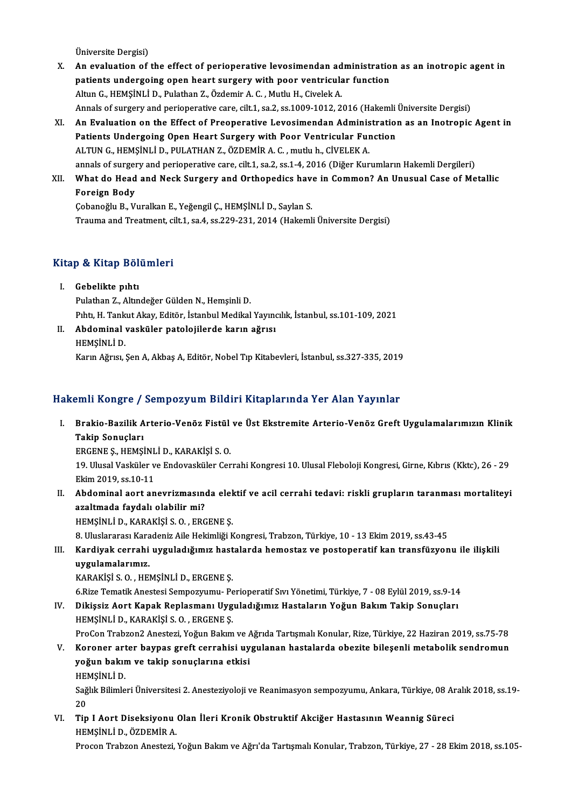Üniversite Dergisi)

- Universite Dergisi)<br>X. An evaluation of the effect of perioperative levosimendan administration as an inotropic agent in<br>notionts undergaing onen beart surgery with neen ventricular function Üniversite Dergisi)<br>An evaluation of the effect of perioperative levosimendan administration<br>patients undergoing open heart surgery with poor ventricular function<br>Altyn G. HEMSINLI D. Pulathan 7, Özdamin A.G. Muthy H. Give patients undergoing open heart surgery with poor ventricular function<br>Altun G., HEMŞİNLİ D., Pulathan Z., Özdemir A. C., Mutlu H., Civelek A. patients undergoing open heart surgery with poor ventricular function<br>Altun G., HEMŞİNLİ D., Pulathan Z., Özdemir A. C. , Mutlu H., Civelek A.<br>Annals of surgery and perioperative care, cilt.1, sa.2, ss.1009-1012, 2016 (Hak
- XI. An Evaluation on the Effect of Preoperative Levosimendan Administration as an Inotropic Agent in Annals of surgery and perioperative care, cilt.1, sa.2, ss.1009-1012, 2016 (Hakemli<br>An Evaluation on the Effect of Preoperative Levosimendan Administration<br>Patients Undergoing Open Heart Surgery with Poor Ventricular Funct Patients Undergoing Open Heart Surgery with Poor Ventricular Function<br>ALTUN G., HEMŞİNLİ D., PULATHAN Z., ÖZDEMİR A. C. , mutlu h., CİVELEK A. annals of surgery and perioperative care, cilt.1, sa.2, ss.1-4, 2016 (Diğer Kurumların Hakemli Dergileri) ALTUN G., HEMŞİNLİ D., PULATHAN Z., ÖZDEMİR A. C. , mutlu h., CİVELEK A.<br>annals of surgery and perioperative care, cilt.1, sa.2, ss.1-4, 2016 (Diğer Kurumların Hakemli Dergileri)<br>XII. What do Head and Neck Surgery and
- annals of surger<br>What do Head<br>Foreign Body<br>Cobanoğlu B. Vi What do Head and Neck Surgery and Orthopedics have<br>Foreign Body<br>Çobanoğlu B., Vuralkan E., Yeğengil Ç., HEMŞİNLİ D., Saylan S.<br>Trauma and Trastment silt 1, 90 4, 90 220 221, 2014 (Hakaml

Foreign Body<br>Çobanoğlu B., Vuralkan E., Yeğengil Ç., HEMŞİNLİ D., Saylan S.<br>Trauma and Treatment, cilt.1, sa.4, ss.229-231, 2014 (Hakemli Üniversite Dergisi)

### Kitap & Kitap Bölümleri

- I. Gebelikte pıhtı Pulathan Z., Altındeğer Gülden N., Hemşinli D. Gebelikte pıhtı<br>Pulathan Z., Altındeğer Gülden N., Hemşinli D.<br>Pıhtı, H. Tankut Akay, Editör, İstanbul Medikal Yayıncılık, İstanbul, ss.101-109, 2021<br>Abdominal yaşküler, patelejilerde karın ağrısı
- II. Abdominal vasküler patolojilerde karın ağrısı<br>HEMŞİNLİ D. Pıhtı, H. Tank<br><mark>Abdominal</mark><br>HEMŞİNLİ D.<br>Karın Ağrıcı

Karın Ağrısı, Şen A, Akbaş A, Editör, Nobel Tıp Kitabevleri, İstanbul, ss.327-335, 2019

### Hakemli Kongre / Sempozyum Bildiri Kitaplarında Yer Alan Yayınlar

akemli Kongre / Sempozyum Bildiri Kitaplarında Yer Alan Yayınlar<br>I. Brakio-Bazilik Arterio-Venöz Fistül ve Üst Ekstremite Arterio-Venöz Greft Uygulamalarımızın Klinik<br>Tekin Senyelen SINI Rongrey<br>Brakio-Bazilik A<br>Takip Sonuçları<br>EDCENE S. HEMSİ Brakio-Bazilik Arterio-Venöz Fistül<br>Takip Sonuçları<br>ERGENE Ş., HEMŞİNLİ D., KARAKİŞİ S. O.<br>10. Ulucal Vesküler ve Endevesküler Cer

**Takip Sonuçları**<br>ERGENE Ş., HEMŞİNLİ D., KARAKİŞİ S. O.<br>19. Ulusal Vasküler ve Endovasküler Cerrahi Kongresi 10. Ulusal Fleboloji Kongresi, Girne, Kıbrıs (Kktc), 26 - 29 ERGENE Ş., HEMŞİNL<br>19. Ulusal Vasküler v<br>Ekim 2019, ss.10-11<br>Abdominal oont on 19. Ulusal Vasküler ve Endovasküler Cerrahi Kongresi 10. Ulusal Fleboloji Kongresi, Girne, Kıbrıs (Kktc), 26 - 29<br>Ekim 2019, ss.10-11<br>II. Abdominal aort anevrizmasında elektif ve acil cerrahi tedavi: riskli grupların taran

Ekim 2019, ss.10-11<br>Abdominal aort anevrizmasında elek<br>azaltmada faydalı olabilir mi?<br>HEMSİNLİ D., KARAKİSİ S. O. , ERGENE S. II. Abdominal aort anevrizmasında elektif ve acil cerrahi tedavi: riskli grupların taranması mortaliteyi

- 8. Uluslararası Karadeniz Aile Hekimliği Kongresi, Trabzon, Türkiye, 10 13 Ekim 2019, ss.43-45
- HEMŞİNLİ D., KARAKİŞİ S. O. , ERGENE Ş.<br>8. Uluslararası Karadeniz Aile Hekimliği Kongresi, Trabzon, Türkiye, 10 13 Ekim 2019, ss.43-45<br>111. Kardiyak cerrahi uyguladığımız hastalarda hemostaz ve postoperatif kan trans 8. Uluslararası Kara<br><mark>Kardiyak cerrahi</mark><br>uygulamalarımız.<br>KARAKİSİS O. HEL Kardiyak cerrahi uyguladığımız hast<br>uygulamalarımız.<br>KARAKİŞİ S. O. , HEMŞİNLİ D., ERGENE Ş.<br>6 Riza Tamatik Anastasi Samnazınımı. Re <mark>uygulamalarımız.</mark><br>KARAKİŞİ S. O. , HEMŞİNLİ D., ERGENE Ş.<br>6.Rize Tematik Anestesi Sempozyumu- Perioperatif Sıvı Yönetimi, Türkiye, 7 - 08 Eylül 2019, ss.9-14<br>Dikişçiz Aort Kanak Benlasmanı Uyguladığımız Hastaların Yoğun B

KARAKİŞİ S. O. , HEMŞİNLİ D., ERGENE Ş.<br>6.Rize Tematik Anestesi Sempozyumu- Perioperatif Sıvı Yönetimi, Türkiye, 7 - 08 Eylül 2019, ss.9-14<br>IV. Dikişsiz Aort Kapak Replasmanı Uyguladığımız Hastaların Yoğun Bakım Takip 6.Rize Tematik Anestesi Sempozyumu- Pe<br>Dikişsiz Aort Kapak Replasmanı Uyg<br>HEMŞİNLİ D., KARAKİŞİ S. O. , ERGENE Ş.<br>PreCen Trabren? Anesteri Yeğun Balam Dikişsiz Aort Kapak Replasmanı Uyguladığımız Hastaların Yoğun Bakım Takip Sonuçları<br>HEMŞİNLİ D., KARAKİŞİ S. O. , ERGENE Ş.<br>ProCon Trabzon2 Anestezi, Yoğun Bakım ve Ağrıda Tartışmalı Konular, Rize, Türkiye, 22 Haziran 2019

HEMŞİNLİ D., KARAKİŞİ S. O. , ERGENE Ş.<br>ProCon Trabzon2 Anestezi, Yoğun Bakım ve Ağrıda Tartışmalı Konular, Rize, Türkiye, 22 Haziran 2019, ss.75-78<br>V. Koroner arter baypas greft cerrahisi uygulanan hastalarda obezite ProCon Trabzon2 Anestezi, Yoğun Bakım ve *k*<br>Koroner arter baypas greft cerrahisi uy<br>yoğun bakım ve takip sonuçlarına etkisi<br>HEMSİNI İ.D Koroner art<br>yoğun bakır<br>HEMŞİNLİ D.<br>Seğlir Bilimle

yoğun bakım ve takip sonuçlarına etkisi<br>HEMŞİNLİ D.<br>Sağlık Bilimleri Üniversitesi 2. Anesteziyoloji ve Reanimasyon sempozyumu, Ankara, Türkiye, 08 Aralık 2018, ss.19-<br>20 HEI<br>Sağ<br>20<br>Tin Sağlık Bilimleri Üniversitesi 2. Anesteziyoloji ve Reanimasyon sempozyumu, Ankara, Türkiye, 08 An<br>20<br>VI. Tip I Aort Diseksiyonu Olan İleri Kronik Obstruktif Akciğer Hastasının Weannig Süreci

20<br>Tip I Aort Diseksiyonu<br>HEMŞİNLİ D., ÖZDEMİR A.<br>Procen Trabren Anesteri

HEMŞİNLİ D., ÖZDEMİR A.<br>Procon Trabzon Anestezi, Yoğun Bakım ve Ağrı'da Tartışmalı Konular, Trabzon, Türkiye, 27 - 28 Ekim 2018, ss.105-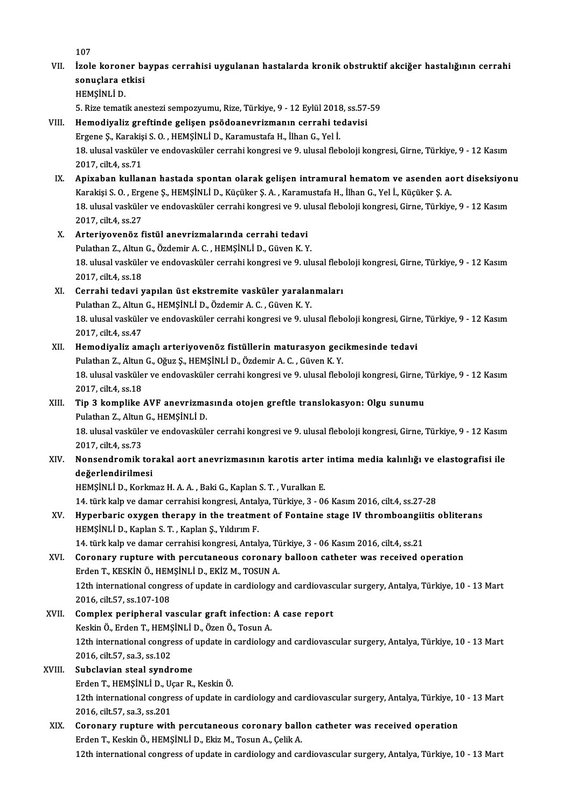107 107<br>VII. İzole koroner baypas cerrahisi uygulanan hastalarda kronik obstruktif akciğer hastalığının cerrahi<br>sonuslara ethisi 107<br>İzole koroner ba<br>sonuçlara etkisi<br>HEMSİNLİ D sonuçlara etkisi<br>HEMŞİNLİ D. sonuçlara etkisi<br>HEMŞİNLİ D.<br>5. Rize tematik anestezi sempozyumu, Rize, Türkiye, 9 - 12 Eylül 2018, ss.57-59<br>Hemodiyaliz areftinde gelişen nsödeanevrizmenın serrebi tedevisi VIII. Hemodiyaliz greftinde gelişen psödoanevrizmanın cerrahi tedavisi 5. Rize tematik anestezi sempozyumu, Rize, Türkiye, 9 - 12 Eylül 2018<br>Hemodiyaliz greftinde gelişen psödoanevrizmanın cerrahi te<br>Ergene Ş., Karakişi S. O. , HEMŞİNLİ D., Karamustafa H., İlhan G., Yel İ.<br>19. ulusal vaskülar 18. ulusal vasküler ve endovasküler cerrahi kongresi ve 9. ulusal fleboloji kongresi, Girne, Türkiye, 9 - 12 Kasım<br>2017. cilt.4. ss.71 Ergene Ș., Karakiși S. O., HEMȘİNLİ D., Karamustafa H., İlhan G., Yel İ. 18. ulusal vasküler ve endovasküler cerrahi kongresi ve 9. ulusal fleboloji kongresi, Girne, Türkiye, 9 - 12 Kasım<br>2017, cilt.4, ss.71<br>IX. Apixaban kullanan hastada spontan olarak gelişen intramural hematom ve asenden aort 2017, cilt.4, ss.71<br><mark>Apixaban kullanan hastada spontan olarak gelişen intramural hematom ve asenden ac</mark><br>Karakişi S. O. , Ergene Ş., HEMŞİNLİ D., Küçüker Ş. A. , Karamustafa H., İlhan G., Yel İ., Küçüker Ş. A.<br>18. ulusal ya Apixaban kullanan hastada spontan olarak gelişen intramural hematom ve asenden aort diseksiyon<br>Karakişi S. O. , Ergene Ş., HEMŞİNLİ D., Küçüker Ş. A. , Karamustafa H., İlhan G., Yel İ., Küçüker Ş. A.<br>18. ulusal vasküler ve Karakişi S. O. , Erg<br>18. ulusal vasküle<br>2017, cilt.4, ss.27<br>Artoriyovanör f 18. ulusal vasküler ve endovasküler cerrahi kongresi ve 9. u.<br>2017, cilt.4, ss.27<br>X. Arteriyovenöz fistül anevrizmalarında cerrahi tedavi<br>Pulathan 7. Altun G. Özdemin A. G. HEMSİNLİ D. Güyen K. V 2017, cilt.4, ss.27<br><mark>Arteriyovenöz fistül anevrizmalarında cerrahi tedavi</mark><br>Pulathan Z., Altun G., Özdemir A. C. , HEMŞİNLİ D., Güven K. Y.<br>18. ulugal veaküler ve endevesküler serrebi kansresi ve 9. ulı 18. ulusal vasküler ve endovasküler cerrahi kongresi ve 9. ulusal fleboloji kongresi, Girne, Türkiye, 9 - 12 Kasım<br>2017, cilt.4, ss.18 Pulathan Z., Altun G., Özdemir A. C., HEMŞİNLİ D., Güven K. Y. 18. ulusal vasküler ve endovasküler cerrahi kongresi ve 9. ulusal fleborum 2017, cilt.4, ss.18<br>XI. Cerrahi tedavi yapılan üst ekstremite vasküler yaralanmaları<br>Rulathan Z. Altun G. HEMSİNLİ D. Özdemin A. G. Güyen K. V. 2017, cilt.4, ss.18<br>Cerrahi tedavi yapılan üst ekstremite vasküler yaralar<br>Pulathan Z., Altun G., HEMŞİNLİ D., Özdemir A. C. , Güven K. Y.<br>18. ulugal vasküler ve andavasküler sarrabi kangresi ve 9. ulı Cerrahi tedavi yapılan üst ekstremite vasküler yaralanmaları<br>Pulathan Z., Altun G., HEMŞİNLİ D., Özdemir A. C. , Güven K. Y.<br>18. ulusal vasküler ve endovasküler cerrahi kongresi ve 9. ulusal fleboloji kongresi, Girne, Türk Pulathan Z., Altun<br>18. ulusal vasküle<br>2017, cilt.4, ss.47<br>Homodivaliz am 18. ulusal vasküler ve endovasküler cerrahi kongresi ve 9. ulusal fleboloji kongresi, Girne<br>2017, cilt.4, ss.47<br>XII. Hemodiyaliz amaçlı arteriyovenöz fistüllerin maturasyon gecikmesinde tedavi<br>Pulathan 7. Altun C. Qğuz S. 2017, cilt.4, ss.47<br>Hemodiyaliz amaçlı arteriyovenöz fistüllerin maturasyon geci<br>Pulathan Z., Altun G., Oğuz Ş., HEMŞİNLİ D., Özdemir A. C. , Güven K. Y.<br>18. ulusal yasküler ve andoyasküler serrebi kongresi ve 9. ulusal fl Hemodiyaliz amaçlı arteriyovenöz fistüllerin maturasyon gecikmesinde tedavi<br>Pulathan Z., Altun G., Oğuz Ş., HEMŞİNLİ D., Özdemir A. C. , Güven K. Y.<br>18. ulusal vasküler ve endovasküler cerrahi kongresi ve 9. ulusal flebolo Pulathan Z., Altun<br>18. ulusal vasküle<br>2017, cilt.4, ss.18<br>Tin 3. komplike 18. ulusal vasküler ve endovasküler cerrahi kongresi ve 9. ulusal fleboloji kongresi, Girne, '<br>2017, cilt.4, ss.18<br>XIII. Tip 3 komplike AVF anevrizmasında otojen greftle translokasyon: Olgu sunumu<br>Pulathan 7. Altun G. 2017, cilt.4, ss.18<br>XIII. Tip 3 komplike AVF anevrizmasında otojen greftle translokasyon: Olgu sunumu<br>Pulathan Z., Altun G., HEMŞİNLİ D. 18. ulusal vasküler ve endovasküler cerrahi kongresi ve 9. ulusal fleboloji kongresi, Girne, Türkiye, 9 - 12 Kasım 2017, cilt.4, ss.73 18. ulusal vasküler ve endovasküler cerrahi kongresi ve 9. ulusal fleboloji kongresi, Girne, Türkiye, 9 - 12 Kasım<br>2017, cilt.4, ss.73<br>XIV. Nonsendromik torakal aort anevrizmasının karotis arter intima media kalınlığı 2017, cilt.4, ss.73<br>Nonsendromik tor<br>değerlendirilmesi<br>HEMSİNI İ.D. Korlm değerlendirilmesi<br>HEMŞİNLİ D., Korkmaz H. A. A. , Baki G., Kaplan S. T. , Vuralkan E. değerlendirilmesi<br>HEMŞİNLİ D., Korkmaz H. A. A. , Baki G., Kaplan S. T. , Vuralkan E.<br>14. türk kalp ve damar cerrahisi kongresi, Antalya, Türkiye, 3 - 06 Kasım 2016, cilt.4, ss.27-28<br>Hunorbanis evygen thereny in the treatm HEMŞİNLİ D., Korkmaz H. A. A. , Baki G., Kaplan S. T. , Vuralkan E.<br>14. türk kalp ve damar cerrahisi kongresi, Antalya, Türkiye, 3 - 06 Kasım 2016, cilt.4, ss.27-28<br>XV. Hyperbaric oxygen therapy in the treatment of Fon 14. türk kalp ve damar cerrahisi kongresi, Antal<br>Hyperbaric oxygen therapy in the treatme<br>HEMŞİNLİ D., Kaplan S. T. , Kaplan Ş., Yıldırım F.<br>14. türk kalp ve damar sarrabisi kongresi, Antal Hyperbaric oxygen therapy in the treatment of Fontaine stage IV thromboangiit<br>HEMŞİNLİ D., Kaplan S. T. , Kaplan Ş., Yıldırım F.<br>14. türk kalp ve damar cerrahisi kongresi, Antalya, Türkiye, 3 - 06 Kasım 2016, cilt.4, ss.21 HEMŞİNLİ D., Kaplan S. T. , Kaplan Ş., Yıldırım F.<br>14. türk kalp ve damar cerrahisi kongresi, Antalya, Türkiye, 3 - 06 Kasım 2016, cilt.4, ss.21<br>XVI. Coronary rupture with percutaneous coronary balloon catheter was rec 14. türk kalp ve damar cerrahisi kongresi, Antalya, Ti<br>Coronary rupture with percutaneous coronary<br>Erden T., KESKİN Ö., HEMŞİNLİ D., EKİZ M., TOSUN A.<br>12th international congress of undate in cardialogu a 12th international congress of update in cardiology and cardiovascular surgery, Antalya, Türkiye, 10 - 13 Mart<br>2016, cilt.57, ss.107-108 Erden T., KESKİN Ö., HEM<br>12th international congre<br>2016, cilt.57, ss.107-108<br>Complex posiphonal v 12th international congress of update in cardiology and cardiovasc<br>2016, cilt.57, ss.107-108<br>XVII. Complex peripheral vascular graft infection: A case report<br>Keskin Ö, Erden T, HEMSİNLİ D, Özen Ö, Tesun A 2016, cilt.57, ss.107-108<br>Complex peripheral vascular graft infection:<br>Keskin Ö., Erden T., HEMŞİNLİ D., Özen Ö., Tosun A.<br>12th international sengress of undate in sardialem Complex peripheral vascular graft infection: A case report<br>Keskin Ö., Erden T., HEMŞİNLİ D., Özen Ö., Tosun A.<br>12th international congress of update in cardiology and cardiovascular surgery, Antalya, Türkiye, 10 - 13 Mart<br> Keskin Ö., Erden T., HEMŞİNLİ D., Özen Ö., Tosun A.<br>12th international congress of update in cardiology<br>2016, cilt.57, sa.3, ss.102<br>Subclavian steal svndrome 12th international congress of<br>2016, cilt.57, sa.3, ss.102<br>XVIII. Subclavian steal syndrome 2016, cilt.57, sa.3, ss.102<br>Subclavian steal syndrome<br>Erden T., HEMŞİNLİ D., Uçar R., Keskin Ö.<br>12th international sengyese of undate in 12th international congress of update in cardiology and cardiovascular surgery, Antalya, Türkiye, 10 - 13 Mart<br>2016, cilt.57, sa.3, ss.201 Erden T., HEMŞİNLİ D., U.<br>12th international congre<br>2016, cilt.57, sa.3, ss.201<br>Cononaw, nuntuno with 12th international congress of update in cardiology and cardiovascular surgery, Antalya, Türkiye, 1<br>2016, cilt.57, sa.3, ss.201<br>XIX. Coronary rupture with percutaneous coronary ballon catheter was received operation<br>Frden 2016, cilt.57, sa.3, ss.201<br>Coronary rupture with percutaneous coronary ballo<br>Erden T., Keskin Ö., HEMŞİNLİ D., Ekiz M., Tosun A., Çelik A.<br>12th international sengress of undate in sardiolary and sa Erden T., Keskin Ö., HEMŞİNLİ D., Ekiz M., Tosun A., Çelik A.<br>12th international congress of update in cardiology and cardiovascular surgery, Antalya, Türkiye, 10 - 13 Mart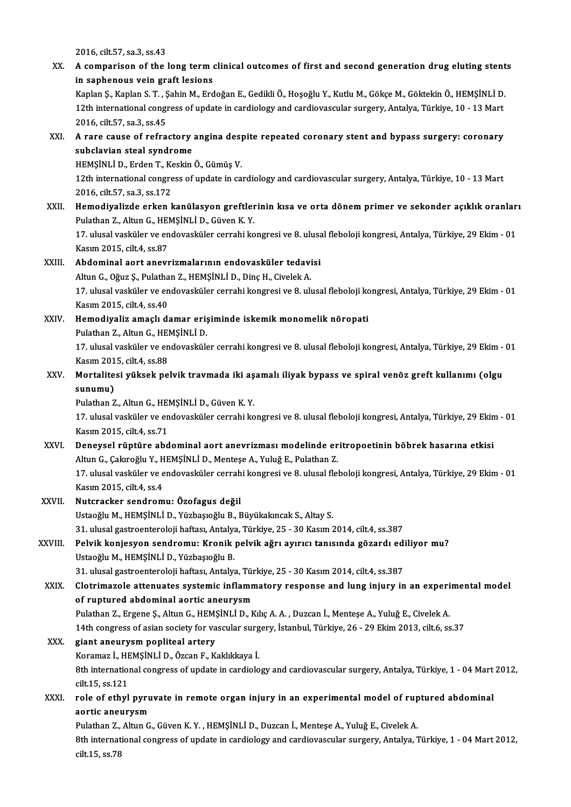2016, cilt.57, sa.3, ss.43

2016, cilt.57, sa.3, ss.43<br>XX. A comparison of the long term clinical outcomes of first and second generation drug eluting stents 2016, cilt.57, sa.3, ss.43<br>A comparison of the long term<br>in saphenous vein graft lesions<br>Kaplan S. Kaplan S. T. Sabin M. Erd A comparison of the long term clinical outcomes of first and second generation drug eluting stent<br>in saphenous vein graft lesions<br>Kaplan Ş., Kaplan S. T. , Şahin M., Erdoğan E., Gedikli Ö., Hoşoğlu Y., Kutlu M., Gökçe M., in saphenous vein graft lesions<br>Kaplan Ș., Kaplan S. T. , Șahin M., Erdoğan E., Gedikli Ö., Hoşoğlu Y., Kutlu M., Gökçe M., Göktekin Ö., HEMŞİNLİ D.<br>12th international congress of update in cardiology and cardiovascular su Kaplan Ş., Kaplan S. T. , Ş.<br>12th international congr<br>2016, cilt.57, sa.3, ss.45 12th international congress of update in cardiology and cardiovascular surgery, Antalya, Türkiye, 10 - 13 Mart<br>2016, cilt.57, sa.3, ss.45<br>XXI. A rare cause of refractory angina despite repeated coronary stent and bypass su 2016, cilt.57, sa.3, ss.45<br>A rare cause of refractory<br>subclavian steal syndrome<br>HEMSINI i D. Erden T. Keekin A rare cause of refractory angina des<sub>l</sub><br>subclavian steal syndrome<br>HEMŞİNLİ D., Erden T., Keskin Ö., Gümüş V.<br>12th international sengress of undate in se subclavian steal syndrome<br>HEMŞİNLİ D., Erden T., Keskin Ö., Gümüş V.<br>12th international congress of update in cardiology and cardiovascular surgery, Antalya, Türkiye, 10 - 13 Mart<br>2016. silt 57, sə.2, sə.172 HEMȘİNLİ D., Erden T., Ko<br>12th international congre<br>2016, cilt.57, sa.3, ss.172<br>Hamadiyalizde erken l 12th international congress of update in cardiology and cardiovascular surgery, Antalya, Türkiye, 10 - 13 Mart<br>2016, cilt.57, sa.3, ss.172<br>XXII. Hemodiyalizde erken kanülasyon greftlerinin kısa ve orta dönem primer ve seko 2016, cilt.57, sa.3, ss.172<br>XXII. Hemodiyalizde erken kanülasyon greftlerinin kısa ve orta dönem primer ve sekonder açıklık oranları<br>Pulathan Z., Altun G., HEMŞİNLİ D., Güven K. Y. Hemodiyalizde erken kanülasyon greftlerinin kısa ve orta dönem primer ve sekonder açıklık oranlar<br>Pulathan Z., Altun G., HEMŞİNLİ D., Güven K. Y.<br>17. ulusal vasküler ve endovasküler cerrahi kongresi ve 8. ulusal fleboloji Pulathan Z., Altun G., HEI<br>17. ulusal vasküler ve en<br>Kasım 2015, cilt.4, ss.87<br>Abdominal sont anovr 17. ulusal vasküler ve endovasküler cerrahi kongresi ve 8. ulusa<br>Kasım 2015, cilt.4, ss.87<br>XXIII. Abdominal aort anevrizmalarının endovasküler tedavisi Kasım 2015, cilt.4, ss.87<br><mark>Abdominal aort anevrizmalarının endovasküler tedav</mark>i<br>Altun G., Oğuz Ş., Pulathan Z., HEMŞİNLİ D., Dinç H., Civelek A.<br>17. ulugal vasküler ve andovasküler sarrabi kangresi ve 8. ulı Abdominal aort anevrizmalarının endovasküler tedavisi<br>Altun G., Oğuz Ş., Pulathan Z., HEMŞİNLİ D., Dinç H., Civelek A.<br>17. ulusal vasküler ve endovasküler cerrahi kongresi ve 8. ulusal fleboloji kongresi, Antalya, Türkiye, Altun G., Oğuz Ş., Pulatha<br>17. ulusal vasküler ve en<br>Kasım 2015, cilt.4, ss.40<br>Hamadiyalir amaslı dı 17. ulusal vasküler ve endovasküler cerrahi kongresi ve 8. ulusal fleboloji ko<br>Kasım 2015, cilt.4, ss.40<br>XXIV. Hemodiyaliz amaçlı damar erişiminde iskemik monomelik nöropati Kasım 2015, cilt4, ss.40<br>Hemodiyaliz amaçlı damar eriş<br>Pulathan Z., Altun G., HEMŞİNLİ D.<br>17. ulucal vesküler ve endevesküle 17. ulusal vasküler ve endovasküler cerrahi kongresi ve 8. ulusal fleboloji kongresi, Antalya, Türkiye, 29 Ekim - 01<br>Kasım 2015, cilt.4, ss.88 Pulathan Z., Altun G., HEMSİNLİ D. 17. ulusal vasküler ve endovasküler cerrahi kongresi ve 8. ulusal fleboloji kongresi, Antalya, Türkiye, 29 Ekim<br>Kasım 2015, cilt.4, ss.88<br>XXV. Mortalitesi yüksek pelvik travmada iki aşamalı iliyak bypass ve spiral venöz gr Kasım 201<br>Mortalite<br>sunumu)<br><sup>Pulathan 7</sup> Mortalitesi yüksek pelvik travmada iki aş<br>sunumu)<br>Pulathan Z., Altun G., HEMŞİNLİ D., Güven K. Y.<br>17. ulugal yaşkülar ve andavaşkülar sarrabi ka **sunumu)**<br>Pulathan Z., Altun G., HEMŞİNLİ D., Güven K. Y.<br>17. ulusal vasküler ve endovasküler cerrahi kongresi ve 8. ulusal fleboloji kongresi, Antalya, Türkiye, 29 Ekim - 01<br>Kasım 2015, cilt.4, ss.71 Pulathan Z., Altun G., HEMŞİNLİ D., Güven K.Y. 17. ulusal vasküler ve endovasküler cerrahi kongresi ve 8. ulusal fleboloji kongresi, Antalya, Türkiye, 29 Ekin<br>Kasım 2015, cilt.4, ss.71<br>XXVI. Deneysel rüptüre abdominal aort anevrizması modelinde eritropoetinin böbrek ha Kasım 2015, cilt.4, ss.71<br>Deneysel rüptüre abdominal aort anevrizması modelinde er<br>Altun G., Çakıroğlu Y., HEMŞİNLİ D., Menteşe A., Yuluğ E., Pulathan Z.<br>17. ulusel vesküler ve endevseküler serrebi kengresi ve 8. ulusel fl Deneysel rüptüre abdominal aort anevrizması modelinde eritropoetinin böbrek hasarına etkisi<br>Altun G., Çakıroğlu Y., HEMŞİNLİ D., Menteşe A., Yuluğ E., Pulathan Z.<br>17. ulusal vasküler ve endovasküler cerrahi kongresi ve 8. Altun G., Çakıroğlu Y., HEMŞİNLİ D., Menteşe A., Yuluğ E., Pulathan Z.<br>17. ulusal vasküler ve endovasküler cerrahi kongresi ve 8. ulusal fleboloji kongresi, Antalya, Türkiye, 29 Ekim - 01<br>Kasım 2015, cilt.4, ss.4 XXVII. Nutcracker sendromu: Özofagus değil UstaoğluM.,HEMŞİNLİD.,YüzbaşıoğluB.,BüyükakıncakS.,Altay S. Nutcracker sendromu: Özofagus değil<br>Ustaoğlu M., HEMŞİNLİ D., Yüzbaşıoğlu B., Büyükakıncak S., Altay S.<br>31. ulusal gastroenteroloji haftası, Antalya, Türkiye, 25 - 30 Kasım 2014, cilt.4, ss.387<br>Polyik konissyon sendromu: K XXVIII. Pelvik konjesyon sendromu: Kronik pelvik ağrı ayırıcı tanısında gözardı ediliyor mu?<br>Ustaoğlu M., HEMŞİNLİ D., Yüzbaşıoğlu B. 31. ulusal gastroenteroloji haftası, Antalya<br>Pelvik konjesyon sendromu: Kronik<br>Ustaoğlu M., HEMŞİNLİ D., Yüzbaşıoğlu B.<br>21. ulusal gastroenteroloji haftası. Antalya Pelvik konjesyon sendromu: Kronik pelvik ağrı ayırıcı tanısında gözardı edi<br>Ustaoğlu M., HEMŞİNLİ D., Yüzbaşıoğlu B.<br>31. ulusal gastroenteroloji haftası, Antalya, Türkiye, 25 - 30 Kasım 2014, cilt.4, ss.387<br>Cletrimagela at XXIX. Clotrimazole attenuates systemic inflammatory response and lung injury in an experimental model<br>of ruptured abdominal aortic aneurysm 31. ulusal gastroenteroloji haftası, Antalya, Tür<br>Clotrimazole attenuates systemic inflamn<br>of ruptured abdominal aortic aneurysm<br>Pulathan 7. Excape S. Altun C. HEMSİNI İ.D. K Pulathan Z., Ergene Ş., Altun G., HEMŞİNLİ D., Kılıç A. A., Duzcan İ., Menteşe A., Yuluğ E., Civelek A. of ruptured abdominal aortic aneurysm<br>Pulathan Z., Ergene Ş., Altun G., HEMŞİNLİ D., Kılıç A. A. , Duzcan İ., Menteşe A., Yuluğ E., Civelek A.<br>14th congress of asian society for vascular surgery, İstanbul, Türkiye, 26 - 29 Pulathan Z., Ergene Ş., Altun G., HEM!<br>14th congress of asian society for va<br>XXX. giant aneurysm popliteal artery 14th congress of asian society for vascular surg<br>giant aneurysm popliteal artery<br>Koramaz İ., HEMŞİNLİ D., Özcan F., Kaklıkkaya İ.<br><sup>9th</sup> international songress of undata in sendiale giant aneurysm popliteal artery<br>Koramaz İ., HEMŞİNLİ D., Özcan F., Kaklıkkaya İ.<br>8th international congress of update in cardiology and cardiovascular surgery, Antalya, Türkiye, 1 - 04 Mart 2012,<br>cilt.15, ss.121 Koramaz İ., HEMŞİNLİ D., Özcan F., Kaklıkkaya İ. 8th international congress of update in cardiology and cardiovascular surgery, Antalya, Türkiye, 1 - 04 Mart<br>cilt.15, ss.121<br>XXXI. role of ethyl pyruvate in remote organ injury in an experimental model of ruptured abdomina cilt.15, ss.121<br>role of ethyl pyru<br>aortic aneurysm<br><sup>Pulathon 7</sup>. Altur.C role of ethyl pyruvate in remote organ injury in an experimental model of rup<br>aortic aneurysm<br>Pulathan Z., Altun G., Güven K. Y. , HEMŞİNLİ D., Duzcan İ., Menteşe A., Yuluğ E., Civelek A.<br><sup>9th</sup> international sengress of un aortic aneurysm<br>Pulathan Z., Altun G., Güven K. Y. , HEMŞİNLİ D., Duzcan İ., Menteşe A., Yuluğ E., Civelek A.<br>8th international congress of update in cardiology and cardiovascular surgery, Antalya, Türkiye, 1 - 04 Mart 201 Pulathan Z.,<br>8th internat<br>cilt.15, ss.78